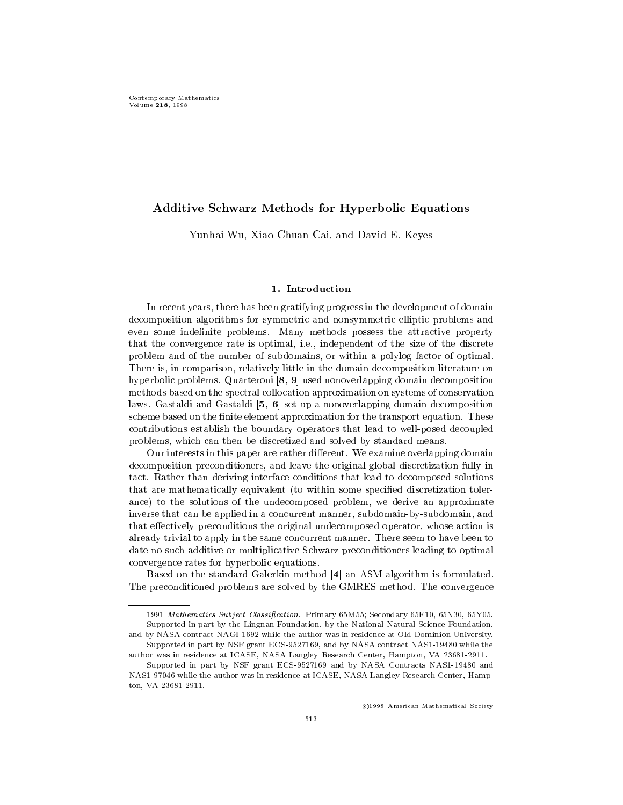# Additive Schwarz Methods for Hyperbolic Equations

Yunhai Wu XiaoChuan Cai and David E- Keyes

#### 1. Introduction

In recent years, there has been gratifying progress in the development of domain decomposition algorithms for symmetric and nonsymmetric elliptic problems and even some indentite problems- methods problems- problems- the attractive property that the convergence rate is optimal i-e- independent of the size of the discrete problem and of the number of subdomains or within a polylog factor of optimal-There is, in comparison, relatively little in the domain decomposition literature on hyperbolic problems-quarteroni and of of anow mometter original womening would mposition. methods based on the spectral collocation approximation on systems of conservation laws- Gastaldi and Gastaldi set up a nonoverlapping domain decomposition scheme based on the the nite element approximation for the theory that the transport equations - the transport contributions establish the boundary operators that lead to well-posed decoupled problems, which can then be discretized and solved by standard means.

Our interests in this paper are rather dierent- We examine overlapping domain decomposition preconditioners and leave the original global discretization fully in tact- Rather than deriving interface conditions that lead to decomposed solutions that are mathematically equivalent (to within some specified discretization tolerance) to the solutions of the undecomposed problem, we derive an approximate inverse that can be applied in a concurrent manner, subdomain-by-subdomain, and that effectively preconditions the original undecomposed operator, whose action is already trivial to apply in the same concurrent manufacture manufacture seems to have been to have been to have date no such additive or multiplicative Schwarz preconditioners leading to optimal convergence rates for hyperbolic equations-

Based on the standard Galerkin method  $[4]$  an ASM algorithm is formulated. The preconditioned problems are solved by the GMRES method- The convergence

c , and a contract communications of the contract of the contract of the contract of the contract of the contract of

Mathematics Subject Classication Primary -M Secondary -F -N -Y Supported in part by the Lingnan Foundation, by the National Natural Science Foundation, and by NASA contract NASA contract NAGION  $\mathcal{M}$  residence at Old Dominion University University University University University University University University University University University University University U

Supported in part by NSF grant ECS - and by NASA contract NAS 
 while the author was in residence at ICASE NASA Langley Research Center, Memory Press, William ICASE.

Supported in part by NSF grant ECS - and by NASA Contracts NAS 
 and NAS - while the author was in residence at ICASE NASA Langley Research Center Hamp ton Valencia e a la construcción de la construcción de la construcción de la construcción de la construcción d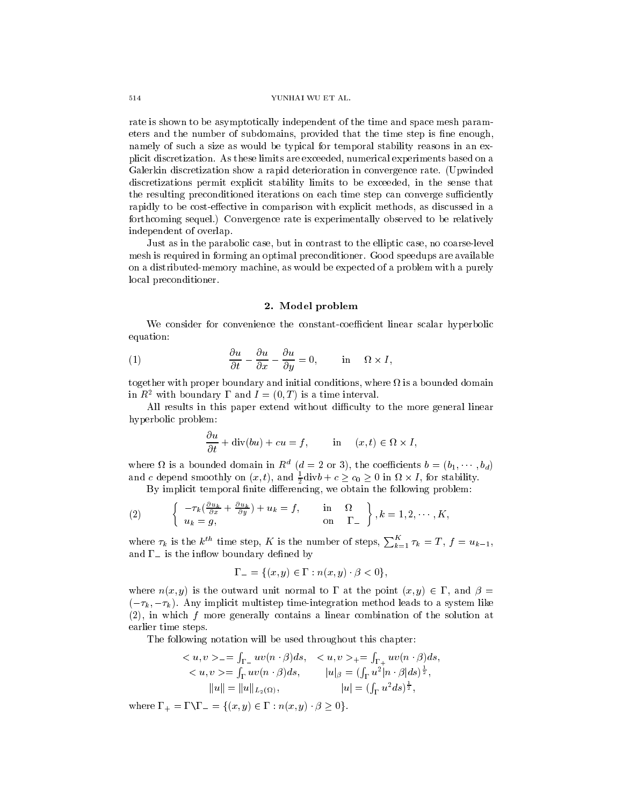rate is shown to be asymptotically independent of the time and space mesh param eters and the number of subdomains, provided that the time step is fine enough, namely of such a size as would be typical for temporal stability reasons in an ex plicit discretization- are exceeded numerical experiments based on are experiments based on a service on a ser Galerkin discretization show a rapid deterioration in convergence rate- Upwinded discretizations permit explicit stability limits to be exceeded, in the sense that the resulting preconditioned iterations on each time step can converge sufficiently rapidly to be cost-effective in comparison with explicit methods, as discussed in a forthcoming sequel- Convergence rate is experimentally observed to be relatively independent of overlap.

Just as in the parabolic case, but in contrast to the elliptic case, no coarse-level mesh is required in forming and optimize preconditioners. Or our speedups are available to the common on a distributed-memory machine, as would be expected of a problem with a purely local preconditioner.

#### 2. Model problem

We consider for convenience the constant-coefficient linear scalar hyperbolic equation

(1) 
$$
\frac{\partial u}{\partial t} - \frac{\partial u}{\partial x} - \frac{\partial u}{\partial y} = 0, \quad \text{in} \quad \Omega \times I,
$$

together with proper boundary and initial conditions, where  $\Omega$  is a bounded domain in  $R^2$  with boundary  $\Gamma$  and  $I = (0, T)$  is a time interval.

All results in this paper extend without difficulty to the more general linear hyperbolic problem

$$
\frac{\partial u}{\partial t} + \text{div}(bu) + cu = f, \qquad \text{in} \quad (x, t) \in \Omega \times I,
$$

where  $\Omega$  is a bounded domain in  $K^-(a=2$  or 5), the coemcients  $b=(b_1,\cdots,b_d)$ and c depend smoothly on  $(x, t)$ , and  $\frac{1}{2}$ div $b + c \ge c_0 \ge 0$  in  $\Omega \times I$ , for stability.

By implicit temporal finite differencing, we obtain the following problem:

(2) 
$$
\begin{cases} -\tau_k(\frac{\partial u_k}{\partial x} + \frac{\partial u_k}{\partial y}) + u_k = f, & \text{in } \Omega \\ u_k = g, & \text{on } \Gamma_- \end{cases}, k = 1, 2, \cdots, K,
$$

where  $\tau_k$  is the k<sup>th</sup> time step, K is the number of steps,  $\sum_{k=1}^{K} \tau_k = T$ ,  $f = u_{k-1}$ , and is the inormalization by  $\mathcal{U}$ 

$$
\Gamma_{-} = \{(x, y) \in \Gamma : n(x, y) \cdot \beta < 0\},\
$$

where  $n(x, y)$  is the outward unit normal to  $\Gamma$  at the point  $(x, y) \in \Gamma$ , and  $\beta =$  $(-\tau_k, -\tau_k)$ . Any implicit multistep time-integration method leads to a system like  $(2)$ , in which f more generally contains a linear combination of the solution at earlier time steps.

The following notation will be used throughout this chapter

$$
\langle u, v \rangle_{-} = \int_{\Gamma_{-}} uv(n \cdot \beta) ds, \quad \langle u, v \rangle_{+} = \int_{\Gamma_{+}} uv(n \cdot \beta) ds, \langle u, v \rangle_{-} = \int_{\Gamma} uv(n \cdot \beta) ds, \qquad |u|_{\beta} = (\int_{\Gamma} u^{2} |n \cdot \beta| ds)^{\frac{1}{2}}, \n||u|| = ||u||_{L_{2}(\Omega)}, \qquad |u| = (\int_{\Gamma} u^{2} ds)^{\frac{1}{2}},
$$

where  $\Gamma_+ = \Gamma \backslash \Gamma_- = \{(x, y) \in \Gamma : n(x, y) \cdot \beta \geq 0\}.$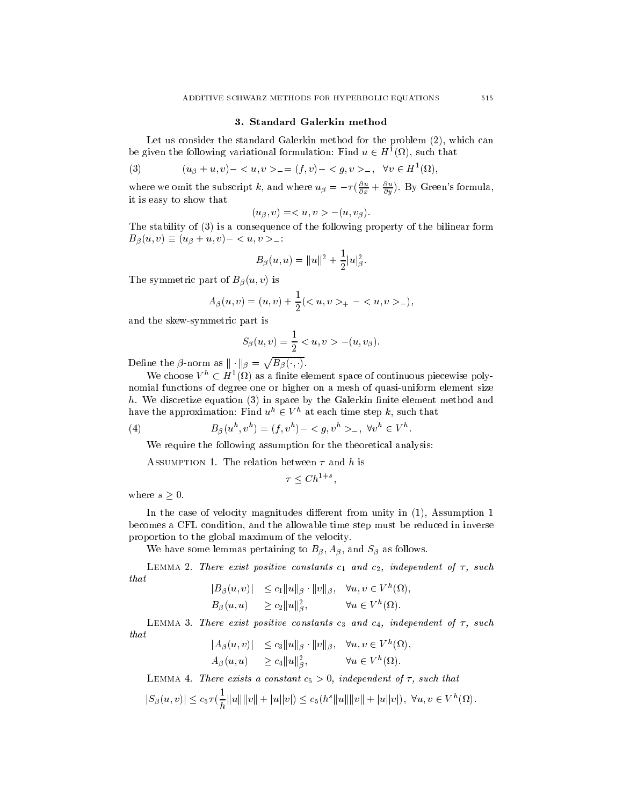### Standard Galerkin method

Let us consider the standard Galerkin method for the problem  $(2)$ , which can be given the following variational formulation: Find  $u \in H^1(\Omega)$ , such that

(3) 
$$
(u_{\beta} + u, v) - \langle u, v \rangle = (f, v) - \langle g, v \rangle, \quad \forall v \in H^{1}(\Omega),
$$

where we omit the subscript k, and where  $u_{\beta} = -\tau(\frac{\pi}{\partial x} + \frac{\pi}{\partial y})$ . By Green s formula, it is easy to show that

$$
(u_{\beta},v)=-(u,v_{\beta}).
$$

The stability of  $(3)$  is a consequence of the following property of the bilinear form  $B_{\beta}(u, v) \equiv (u_{\beta} + u, v) - \langle u, v \rangle$ .

$$
B_{\beta}(u, u) = ||u||^2 + \frac{1}{2}|u|_{\beta}^2.
$$

The symmetric part of  $B_{\beta}(u, v)$  is

$$
A_{\beta}(u,v) = (u,v) + \frac{1}{2}(_{+} - _{-}),
$$

and the skew-symmetric part is

$$
S_\beta(u,v)=\frac{1}{2}-(u,v_\beta).
$$

Define the  $\beta$ -norm as  $\|\cdot\|_{\beta} = \sqrt{B_{\beta}(\cdot, \cdot)}$ .

We choose  $V^n \subset H^1(\Omega)$  as a finite element space of continuous piecewise polynomial functions of degree one or higher on a mesh of quasi-uniform element size h- We discretize equation in space by the Galerkin nite element method and have the approximation: Find  $u^n \in V^n$  at each time step k, such that

(4) 
$$
B_{\beta}(u^h, v^h) = (f, v^h) - \langle g, v^h \rangle, \forall v^h \in V^h.
$$

We require the following assumption for the theoretical analysis:

$$
\tau \le C h^{1+s},
$$

where  $s \geq 0$ .

In the case of velocity magnitudes different from unity in  $(1)$ , Assumption 1 becomes a CFL condition, and the allowable time step must be reduced in inverse proportion to the global maximum of the velocity-

We have some lemmas pertaining to  $B_{\beta}$ ,  $A_{\beta}$ , and  $S_{\beta}$  as follows.

 $\blacksquare$ that

$$
|B_{\beta}(u, v)| \leq c_1 \|u\|_{\beta} \cdot \|v\|_{\beta}, \quad \forall u, v \in V^h(\Omega),
$$
  

$$
B_{\beta}(u, u) \geq c_2 \|u\|_{\beta}^2, \qquad \forall u \in V^h(\Omega).
$$

Lemma There exist positive constants c- and c independent of - such that

$$
|A_{\beta}(u, v)| \leq c_3 \|u\|_{\beta} \cdot \|v\|_{\beta}, \quad \forall u, v \in V^h(\Omega),
$$
  

$$
A_{\beta}(u, u) \geq c_4 \|u\|_{\beta}^2, \qquad \forall u \in V^h(\Omega).
$$

 $L$  ENIMA  $\pm$ . There exists a constant  $c_5 > 0$ , independent of 1, sach that

$$
|S_{\beta}(u,v)| \leq c_5 \tau(\frac{1}{h}||u||||v|| + |u||v|) \leq c_5(h^s ||u||||v|| + |u||v|), \ \forall u, v \in V^h(\Omega).
$$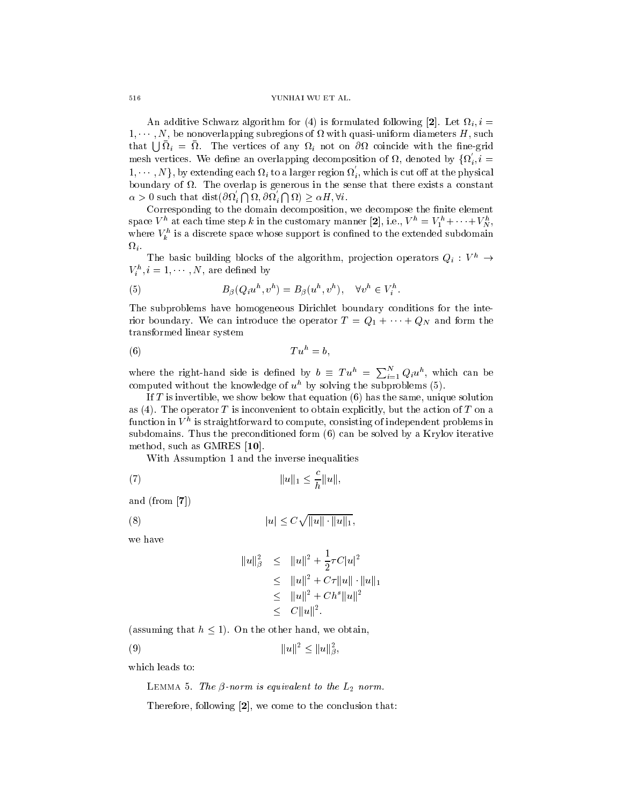An additive Schwarz algorithm for  $\langle \ \ \gamma \ \ \rangle$  as formulated formulated following  $\langle \ \ |\ \ \ \rangle$  .  $1, \dots, N$ , be nonoverlapping subregions of  $\Omega$  with quasi-uniform diameters H, such that  $\prod_i \Omega_i = \Omega$ . The vertices of any  $\Omega_i$  not on  $\partial \Omega$  coincide with the fine-grid mesh vertices. We define an overlapping decomposition of  $\Omega$ , denoted by  $\{\Omega_i, i =$  $1,\cdots,N\},$  by extending each  $\Omega_i$  to a larger region  $\Omega_i$ , which is cut off at the physical boundary of 
- The overlap is generous in the sense that there exists a constant  $\alpha > 0$  such that  $\text{dist}(\partial \Omega_i \cap \Omega, \partial \Omega_i \cap \Omega) \geq \alpha H, \forall i.$ 

Corresponding to the domain decomposition, we decompose the finite element space  $v$  " at each time step k in the customary manner  $[2]$ , i.e.,  $v$  "  $= v_1$  +  $\cdots$  +  $v_N^-,$ where  $v_k$  is a discrete space whose support is commed to the extended subdomain  $\Omega_i$ .

The basic building blocks of the algorithm, projection operators  $Q_i : V^n \rightarrow$  $V_i$ ,  $i = 1, \dots, N$ , are defined by

(5) 
$$
B_{\beta}(Q_i u^h, v^h) = B_{\beta}(u^h, v^h), \quad \forall v^h \in V_i^h.
$$

The subproblems have homogeneous Dirichlet boundary conditions for the inte rior boundary-we can introduce the operator  $I = Q_1 + \cdots + Q_N$  and form the transformed linear system

$$
(6) \t T uh = b,
$$

where the right-hand side is defined by  $b \equiv Tu^h = \sum_{i=1}^N Q_i u^h$ , which can be computed without the knowledge of  $u^+$  by solving the subproblems (5).

If  $T$  is invertible, we show below that equation  $(6)$  has the same, unique solution as - The operator T is inconvenient to obtain explicitly but the action of T on a function in  $V$  " is straightforward to compute, consisting of independent problems in  $\;$ subdomains- Thus the preconditioned form can be solved by a Krylov iterative method such as GMRES -

With Assumption 1 and the inverse inequalities

(7) 
$$
||u||_1 \leq \frac{c}{h}||u||,
$$

and (from  $\vert 7 \vert$ )

$$
(8) \t\t |u| \leq C\sqrt{\|u\| \cdot \|u\|_1},
$$

we have

$$
||u||_{\beta}^{2} \leq ||u||^{2} + \frac{1}{2}\tau C|u|^{2}
$$
  
\n
$$
\leq ||u||^{2} + C\tau||u|| \cdot ||u||_{1}
$$
  
\n
$$
\leq ||u||^{2} + C h^{s}||u||^{2}
$$
  
\n
$$
\leq C||u||^{2}.
$$

(assuming that  $h \leq 1$ ). On the other hand, we obtain,

(9)  $||u||^2 \le ||u||^2_{\beta}$ ,

which leads to

LEMMA 5. The  $\beta$ -norm is equivalent to the  $L_2$  norm.

Therefore, following  $[2]$ , we come to the conclusion that:

516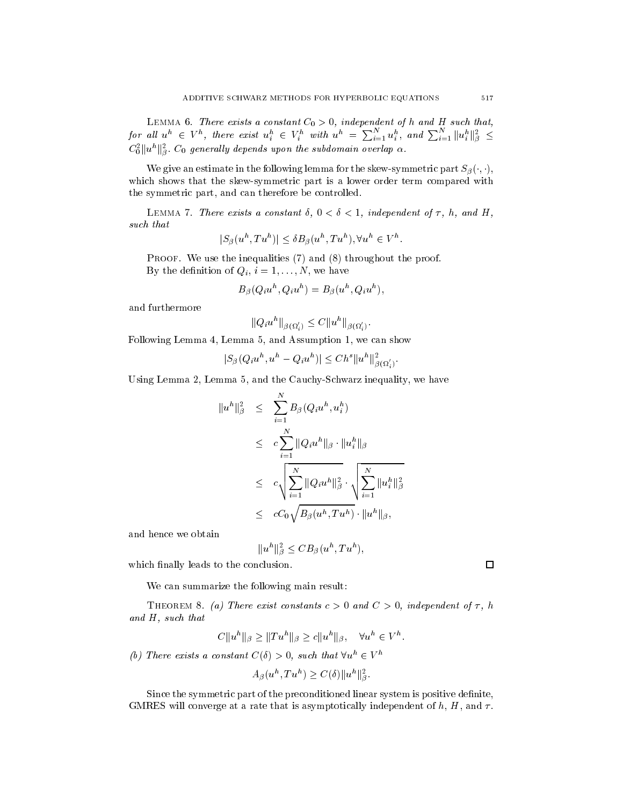LEMMA 6. There exists a constant  $C_0 > 0$ , independent of h and H such that, for all  $u^n \in V^n$ , there exist  $u_i^n \in V_i^n$  with  $u^n = \sum_{i=1}^N u_i^n$ , and  $\sum_{i=1}^N \|u_i^n\|_{\beta}^2 \leq$  $C_0^2 \|u^h\|_2^2$ .  $C_0$  generally depends upon the subdomain overlap  $\alpha$ .

We give an estimate in the following lemma for the skew-symmetric part  $S_\beta(\cdot, \cdot)$ , which shows that the skewsymmetric part is <sup>a</sup> lower order term compared with the symmetric part, and can therefore be controlled.

LEMMA 1, THEIC CLISIS A CONSTANT OF  $0 \leq t \leq T$  . MACDENACING OF 1, 11, ANA 11, such that

$$
|S_{\beta}(u^h, Tu^h)| \leq \delta B_{\beta}(u^h, Tu^h), \forall u^h \in V^h.
$$

PROOF. We use the inequalities  $(7)$  and  $(8)$  throughout the proof. By the definition of  $Q_i$ ,  $i = 1, \ldots, N$ , we have

$$
B_\beta(Q_iu^h,Q_iu^h)=B_\beta(u^h,Q_iu^h),
$$

and furthermore

$$
||Q_iu^h||_{\beta(\Omega_i')} \leq C||u^h||_{\beta(\Omega_i')}.
$$

Following Lemma 4, Lemma 5, and Assumption 1, we can show

$$
|S_\beta(Q_iu^h, u^h - Q_iu^h)| \le Ch^s \|u^h\|^2_{\beta(\Omega'_i)}.
$$

Using Lemma 2, Lemma 5, and the Cauchy-Schwarz inequality, we have

$$
\begin{array}{rcl} \|u^h\|_\beta^2 & \leq & \sum_{i=1}^N B_\beta(Q_i u^h, u_i^h) \\ & \leq & c \sum_{i=1}^N \|Q_i u^h\|_\beta \cdot \|u_i^h\|_\beta \\ & \leq & c \sqrt{\sum_{i=1}^N \|Q_i u^h\|_\beta^2} \cdot \sqrt{\sum_{i=1}^N \|u_i^h\|_\beta^2} \\ & \leq & cC_0 \sqrt{B_\beta(u^h, Tu^h)} \cdot \|u^h\|_\beta, \end{array}
$$

and hence we obtain

$$
||u^h||^2_{\beta} \leq C B_{\beta}(u^h,Tu^h),
$$

which finally leads to the conclusion.

We can summarize the following main result

**THEOREM 0.** (a) There exist constants  $c > 0$  and  $C > 0$ , independent of 1, h  $\it{$  and  $\it{u}$  is  $\it{u}$  and  $\it{u}$  and  $\it{u}$  and  $\it{u}$  and  $\it{u}$  and  $\it{u}$  and  $\it{u}$  and  $\it{u}$  and  $\it{u}$  and  $\it{u}$  and  $\it{u}$  and  $\it{u}$  and  $\it{u}$  and  $\it{u}$  and  $\it{u}$  and  $\it{u}$  and  $\it{u}$ 

$$
C||u^h||_{\beta} \ge ||Tu^h||_{\beta} \ge c||u^h||_{\beta}, \quad \forall u^h \in V^h.
$$

(b) There exists a constant  $C(\delta) > 0$ , such that  $\forall u^n \in V^n$ 

$$
A_{\beta}(u^h, Tu^h) \ge C(\delta) \|u^h\|_{\beta}^2.
$$

Since the symmetric part of the preconditioned linear system is positive definite, GMRES will converge at a rate that is asymptotically independent of higher states  $\mathbb{R}^n$  and  $\mathbb{R}^n$  and  $\mathbb{R}^n$ 

 $\Box$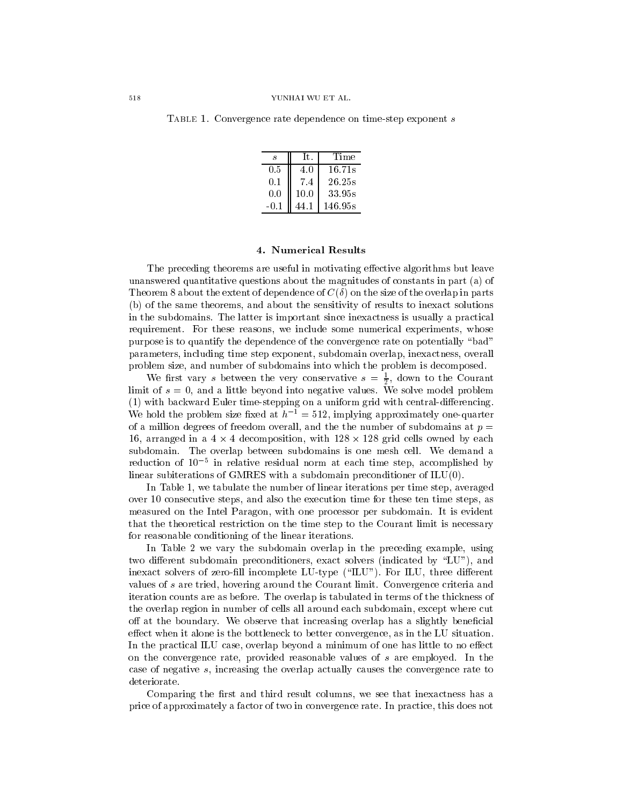TABLE 1. Convergence rate dependence on time-step exponent  $s$ 

| S   | Ιt.   | Time    |
|-----|-------|---------|
| 0.5 | 4.0   | 16.71s  |
| 0.1 | 7.4   | 26.25s  |
| 0.0 | 10.0  | 33.95s  |
| -0  | 44. I | 146.95s |

## 4. Numerical Results

The preceding theorems are useful in motivating effective algorithms but leave unanswered quantitative questions about the magnitudes of constants in part (a) of Theorem 8 about the extent of dependence of  $C(\delta)$  on the size of the overlap in parts b of the same theorems and about the sensitivity of results to inexact solutions in the subdomains-defense is important since inexactness is important since inexactness is usually a practical requirements to the these reasons we include some numerical experiments whose  $\mathcal{F}_\mathbf{r}$ purpose is to quantify the dependence of the convergence rate on potentially "bad" parameters, including time step exponent, subdomain overlap, inexactness, overall problem size, and number of subdomains into which the problem is decomposed.

We first vary s between the very conservative  $s = \frac{1}{2}$ , down to the Courant limit of s  and a little beyond into negative values- We solve model problem We hold the problem size fixed at  $h^{-1} = 512$ , implying approximately one-quarter of a million degrees of freedom overall, and the the number of subdomains at  $p=$ 16, arranged in a  $4 \times 4$  decomposition, with  $128 \times 128$  grid cells owned by each subdomain- The overlap between subdomains is one mesh cell-left and demand and  $\sim$ reduction of IU  $^{\circ}$  in relative residual norm at each time step, accomplished by linear subiterations of GMRES with a subdomain preconditioner of  $ILU(0)$ .

In Table 1, we tabulate the number of linear iterations per time step, averaged over 10 consecutive steps, and also the execution time for these ten time steps, as measured on the Intel Paragon with one processor per subdomain- It is evident that the theoretical restriction on the time step to the Courant limit is necessary for reasonable conditioning of the linear iterations-

In Table 2 we vary the subdomain overlap in the preceding example, using two different subdomain preconditioners, exact solvers (indicated by "LU"), and inexact solvers of and incomplete LUTU-LUTTLE ILU-LUTTLE IN 1999 (1999) and incomplete  $\mathcal{L}_\mathbf{z}$ values of s are tried hovering around the Courant limit- Convergence criteria and iteration counts are as before- The overlap is tabulated in terms of the thickness of the overlap region in number of cells all around each subdomain except where cut or at the boundary- we come that increase the slightly benefits of  $\sim$ effect when it alone is the bottleneck to better convergence, as in the LU situation. In the practical ILU case, overlap beyond a minimum of one has little to no effect on the convergence rate provided reasonable values of s are employed- In the case of negative s, increasing the overlap actually causes the convergence rate to deteriorate.

Comparing the first and third result columns, we see that inexactness has a price of approximately a factor of two in convergence rate- In practice this does not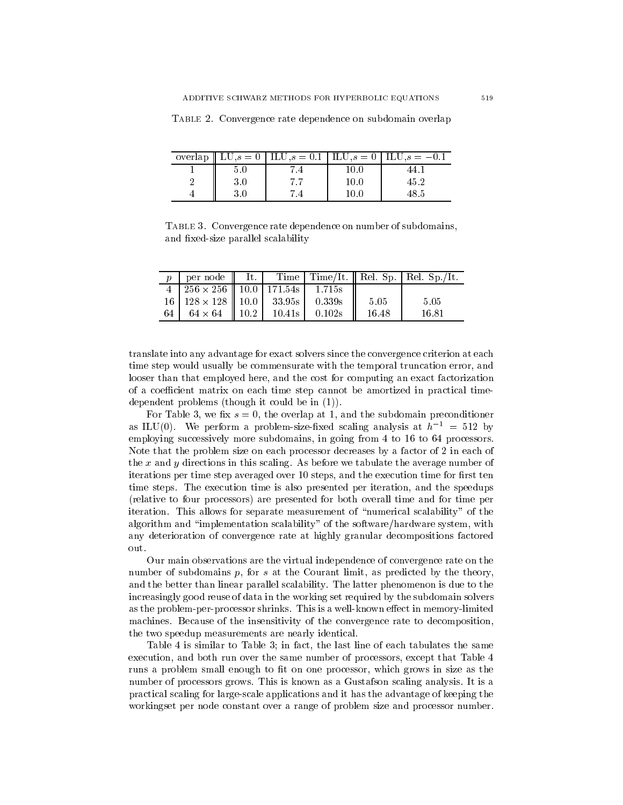| overlap |    |          | $\parallel$ LU,s = 0   ILU,s = 0.1   ILU,s = 0   ILU,s = -0.1 |
|---------|----|----------|---------------------------------------------------------------|
|         |    | 10.0     | 44. I                                                         |
|         | 30 | $10.0\,$ | 45.2                                                          |
|         |    | 10.0     | 48.5                                                          |

Table - Convergence rate dependence on subdomain overlap

TABLE 3. Convergence rate dependence on number of subdomains, and fixed-size parallel scalability

|      |                                                  |  |       | $p$ per node $\parallel$ It. Time Time/It. Rel. Sp. Rel. Sp./It. |
|------|--------------------------------------------------|--|-------|------------------------------------------------------------------|
|      | $4$   $256 \times 256$   10.0   171.54s   1.715s |  |       |                                                                  |
|      | $16 128 \times 128 10.0 33.95s 0.339s$           |  | 5.05  | 5.05                                                             |
| 64 I | $64 \times 64$    10.2   10.41s   0.102s         |  | 16.48 | 16.81                                                            |

translate into any advantage for exact solvers since the convergence criterion at each time step would usually be commensurate with the temporal truncation error, and looser than that employed here, and the cost for computing an exact factorization of a coefficient matrix on each time step cannot be amortized in practical timedependent problems (though it could be in  $(1)$ ).

For Table 3, we fix  $s = 0$ , the overlap at 1, and the subdomain preconditioner as ILU(U). We perform a problem-size-fixed scaling analysis at  $h^{-1} = 512$  by employing successively more subdomains, in going from  $4$  to  $16$  to  $64$  processors. Note that the problem size on each processor decreases by a factor of  $2$  in each of the x and y directions in this scaling- As before we tabulate the average number of iterations per time step averaged over 10 steps, and the execution time for first ten time steps- The execution time is also presented per iteration and the speedups relative to four processors) are presented for both overall time and for time per iteration- This allows for separate measurement of numerical scalability of the algorithm and "implementation scalability" of the software/hardware system, with any deterioration of convergence rate at highly granular decompositions factored out.

Our main observations are the virtual independence of convergence rate on the number of subdomains  $p$ , for  $s$  at the Courant limit, as predicted by the theory, and the better than linear parallel scalability- The latter phenomenon is due to the increasingly good reuse of data in the working set required by the subdomain solvers as the problemperprocessor shrinks- This is a wellknown eect in memorylimited machines- Because of the insensitivity of the convergence rate to decomposition the two speedup measurements are nearly identical-

Table 4 is similar to Table 3; in fact, the last line of each tabulates the same execution, and both run over the same number of processors, except that Table 4 runs a problem small enough to fit on one processor, which grows in size as the number of processors grows-based and processors grows-based and as a Gustafson scaling analysispractical scaling for largescale applications and it has the advantage of keeping the workingset per node constant over a range of problem size and processor number-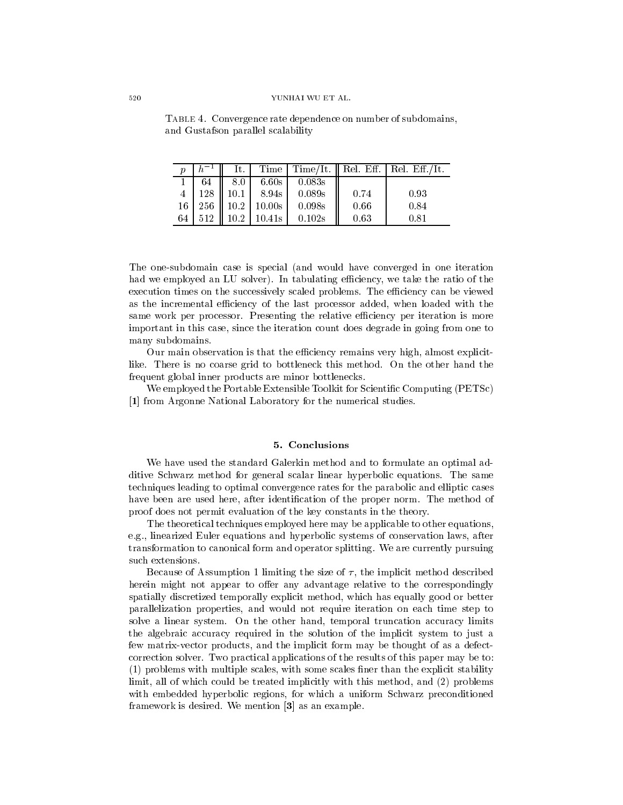|                 |  |                                             |       | $\overline{\text{It.}}$ Time Time/It.   Rel. Eff.   Rel. Eff./It. |
|-----------------|--|---------------------------------------------|-------|-------------------------------------------------------------------|
|                 |  | $1 \mid 64 \mid 8.0 \mid 6.60s \mid 0.083s$ |       |                                                                   |
|                 |  | 4   128   10.1   8.94s   0.089s             | 0.74  | 0.93                                                              |
| 16 <sup>1</sup> |  | $256$   10.2   10.00s   0.098s              | -0.66 | 0.84                                                              |
| 64              |  | $512$   10.2   10.41s   0.102s              | 0.63  | 0.81                                                              |

TABLE 4. Convergence rate dependence on number of subdomains, and Gustafson parallel scalability

The one-subdomain case is special (and would have converged in one iteration had we employ an LU solver-January we take the ratio of the ratio of the ratio of the ratio of the ratio of th execution times on the successively scaled problems- reac continue, the statistic as the incremental efficiency of the last processor added, when loaded with the same work per processor- a relative encourage the relative experience per iterations as an extra complete important in this case since the iteration count does degrade in going from one to many subdomains-

Our main observation is that the efficiency remains very high, almost explicitlike- There is no coarse grid to bottleneck this method- On the other hand the frequent global inner products are minor bottlenecks.

We employed the Portable Extensible Toolkit for Scientific Computing  $(PETSc)$ [1] from Argonne National Laboratory for the numerical studies.

#### Conclusions

We have used the standard Galerkin method and to formulate an optimal ad ditive Schwarz method for general schwarz method is presented by method in the same scalar scalar schwarz schw techniques leading to optimal convergence rates for the parabolic and elliptic cases have been are used here after identication of the proper norm- The method of proof does not permit evaluation of the key constants in the theory-

The theoretical techniques employed here may be applicable to other equations e-g- linearized Euler equations and hyperbolic systems of conservation laws after transformation to canonical form and operator splitting- We are currently pursuing such extensions.

Because of Assumption limiting the size of - the implicit method described herein might not appear to offer any advantage relative to the correspondingly spatially discretized temporally explicit method, which has equally good or better parallelization properties and would not require iteration on each time step to solve a <del>linear system</del> on the other hand temporal truncation accuracy limits and the algebraic accuracy required in the solution of the implicit system to just a few matrix-vector products, and the implicit form may be thought of as a defectcorrection solver-business practical of the results of the results of the results of the results of this paper  $(1)$  problems with multiple scales, with some scales finer than the explicit stability limit, all of which could be treated implicitly with this method, and (2) problems with embedded hyperbolic regions, for which a uniform Schwarz preconditioned framework is desired-desired-desired-desired-desired-desired-desired-desired-desired-desired-desired-desired-d